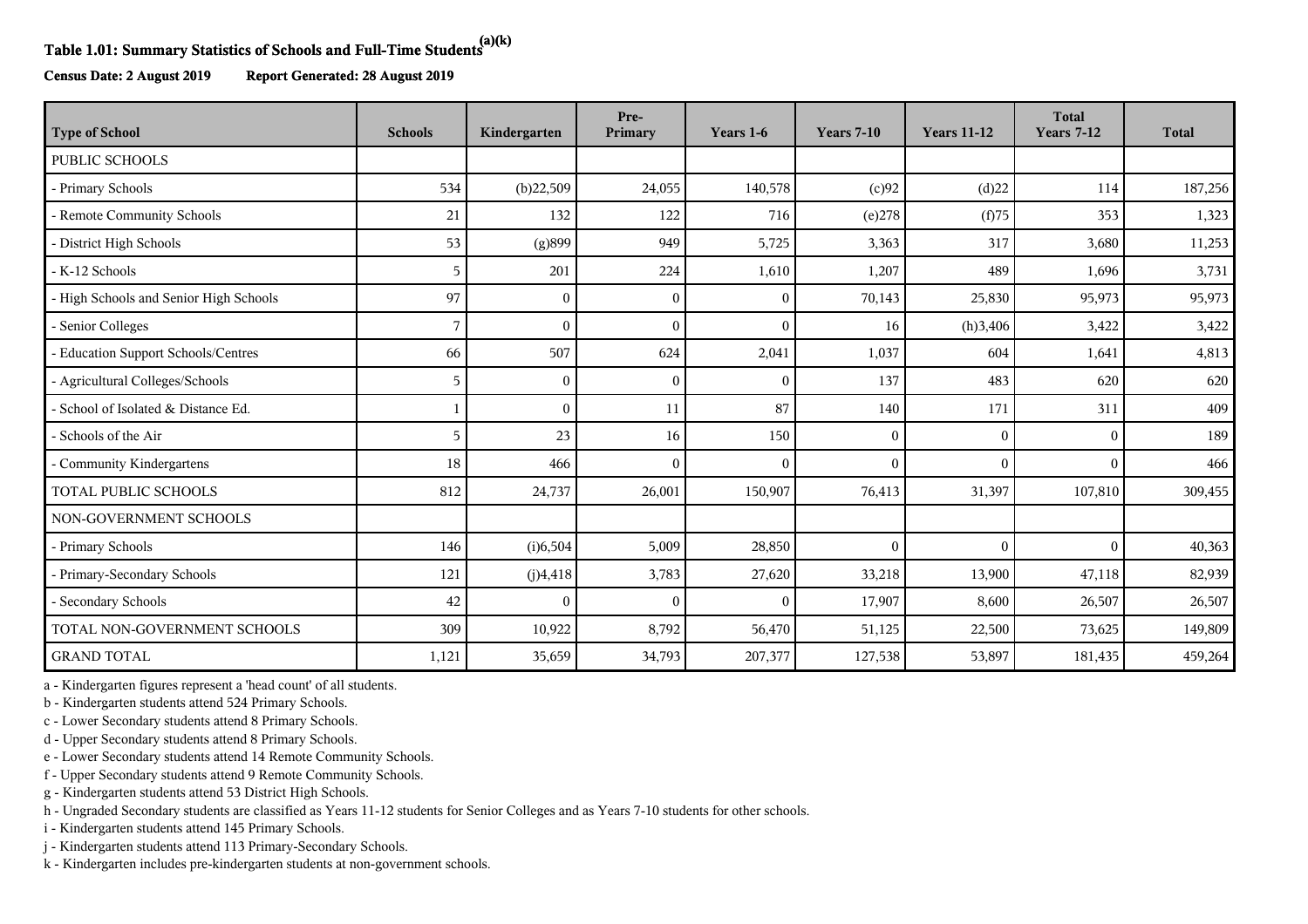## **Table 1.01: Summary Statistics of Schools and Full-Time Students(a)(k)**

**Census Date: 2 August 2019 Report Generated: 28 August 2019**

| <b>Type of School</b>                  | <b>Schools</b> | Kindergarten | Pre-<br>Primary | Years 1-6    | <b>Years 7-10</b> | <b>Years 11-12</b> | <b>Total</b><br><b>Years 7-12</b> | <b>Total</b> |
|----------------------------------------|----------------|--------------|-----------------|--------------|-------------------|--------------------|-----------------------------------|--------------|
| <b>PUBLIC SCHOOLS</b>                  |                |              |                 |              |                   |                    |                                   |              |
| - Primary Schools                      | 534            | (b)22,509    | 24,055          | 140,578      | (c)92             | (d)22              | 114                               | 187,256      |
| - Remote Community Schools             | 21             | 132          | 122             | 716          | (e)278            | (f)75              | 353                               | 1,323        |
| - District High Schools                | 53             | (g)899       | 949             | 5,725        | 3,363             | 317                | 3,680                             | 11,253       |
| - K-12 Schools                         | 5              | 201          | 224             | 1,610        | 1,207             | 489                | 1,696                             | 3,731        |
| - High Schools and Senior High Schools | 97             | $\theta$     | 0               | $\mathbf{0}$ | 70,143            | 25,830             | 95,973                            | 95,973       |
| - Senior Colleges                      | 7              |              |                 | $\theta$     | 16                | (h)3,406           | 3,422                             | 3,422        |
| - Education Support Schools/Centres    | 66             | 507          | 624             | 2,041        | 1,037             | 604                | 1,641                             | 4,813        |
| - Agricultural Colleges/Schools        | 5              | $\Omega$     | $\Omega$        | $\mathbf{0}$ | 137               | 483                | 620                               | 620          |
| - School of Isolated & Distance Ed.    |                | $\Omega$     | 11              | 87           | 140               | 171                | 311                               | 409          |
| - Schools of the Air                   | 5              | 23           | 16              | 150          | $\theta$          | $\Omega$           | $\theta$                          | 189          |
| - Community Kindergartens              | 18             | 466          | $\sqrt{ }$      | $\mathbf{0}$ | $\mathbf{0}$      | $\Omega$           | $\theta$                          | 466          |
| <b>TOTAL PUBLIC SCHOOLS</b>            | 812            | 24,737       | 26,001          | 150,907      | 76,413            | 31,397             | 107,810                           | 309,455      |
| NON-GOVERNMENT SCHOOLS                 |                |              |                 |              |                   |                    |                                   |              |
| - Primary Schools                      | 146            | (i)6,504     | 5,009           | 28,850       | $\mathbf{0}$      | $\Omega$           | $\Omega$                          | 40,363       |
| - Primary-Secondary Schools            | 121            | (j)4,418     | 3,783           | 27,620       | 33,218            | 13,900             | 47,118                            | 82,939       |
| - Secondary Schools                    | 42             | $\Omega$     | $\sqrt{ }$      | $\mathbf{0}$ | 17,907            | 8,600              | 26,507                            | 26,507       |
| TOTAL NON-GOVERNMENT SCHOOLS           | 309            | 10,922       | 8,792           | 56,470       | 51,125            | 22,500             | 73,625                            | 149,809      |
| <b>GRAND TOTAL</b>                     | 1,121          | 35,659       | 34,793          | 207,377      | 127,538           | 53,897             | 181,435                           | 459,264      |

a - Kindergarten figures represent a 'head count' of all students.

b - Kindergarten students attend 524 Primary Schools.

c - Lower Secondary students attend 8 Primary Schools.

d - Upper Secondary students attend 8 Primary Schools.

e - Lower Secondary students attend 14 Remote Community Schools.

f - Upper Secondary students attend 9 Remote Community Schools.

g - Kindergarten students attend 53 District High Schools.

h - Ungraded Secondary students are classified as Years 11-12 students for Senior Colleges and as Years 7-10 students for other schools.

i - Kindergarten students attend 145 Primary Schools.

j - Kindergarten students attend 113 Primary-Secondary Schools.

k - Kindergarten includes pre-kindergarten students at non-government schools.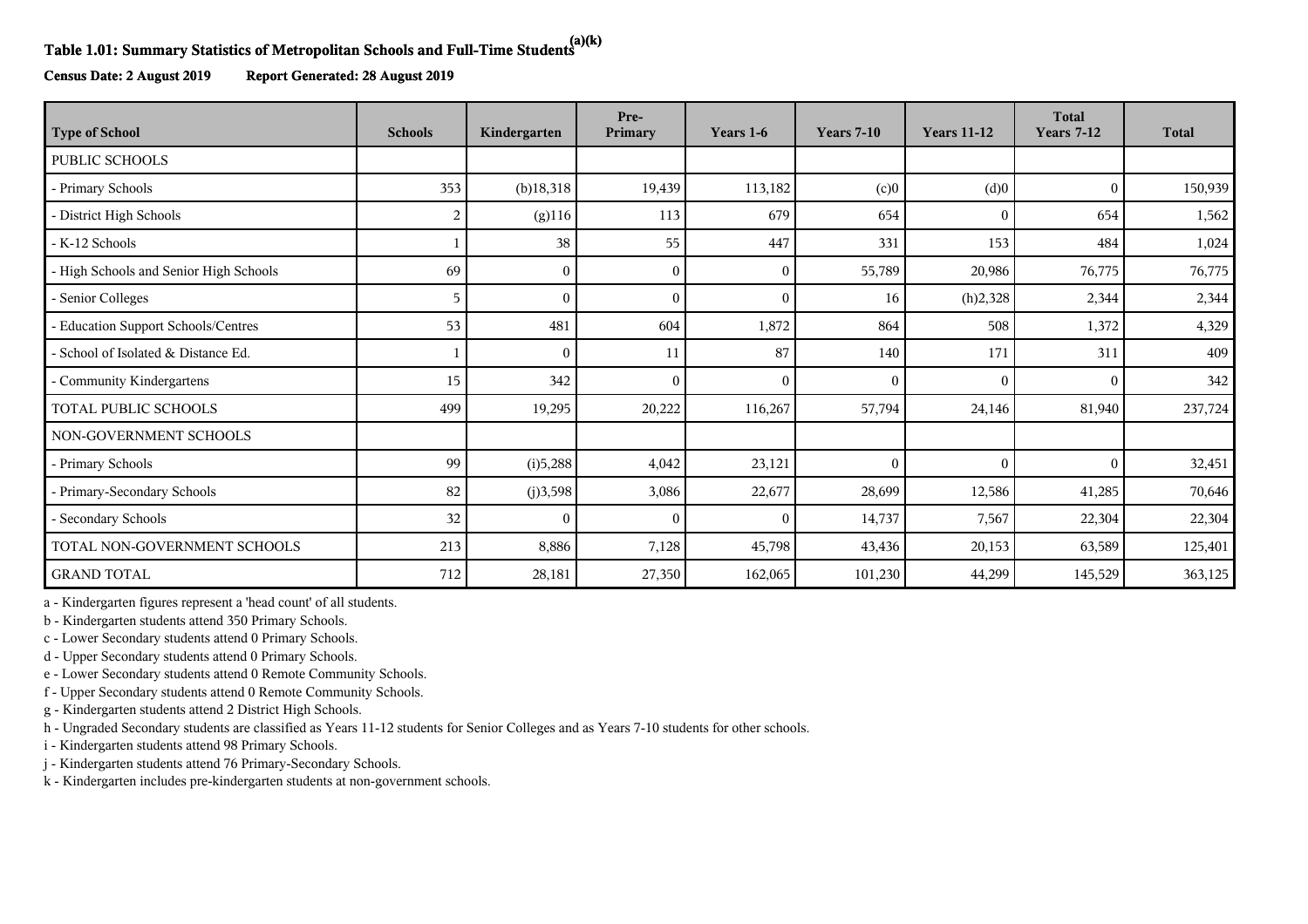## **Table 1.01: Summary Statistics of Metropolitan Schools and Full-Time Students(a)(k)**

**Census Date: 2 August 2019 Report Generated: 28 August 2019**

| <b>Type of School</b>                  | <b>Schools</b> | Kindergarten | Pre-<br>Primary | Years 1-6    | <b>Years 7-10</b> | <b>Years 11-12</b> | <b>Total</b><br><b>Years 7-12</b> | <b>Total</b> |
|----------------------------------------|----------------|--------------|-----------------|--------------|-------------------|--------------------|-----------------------------------|--------------|
| <b>PUBLIC SCHOOLS</b>                  |                |              |                 |              |                   |                    |                                   |              |
| - Primary Schools                      | 353            | $(b)$ 18,318 | 19,439          | 113,182      | (c)0              | (d)0               | $\Omega$                          | 150,939      |
| - District High Schools                | 2              | $(g)$ 116    | 113             | 679          | 654               | $\Omega$           | 654                               | 1,562        |
| - K-12 Schools                         |                | 38           | 55              | 447          | 331               | 153                | 484                               | 1,024        |
| - High Schools and Senior High Schools | 69             | $\Omega$     | $\left($        | $\mathbf{0}$ | 55,789            | 20,986             | 76,775                            | 76,775       |
| - Senior Colleges                      | 5              |              |                 | $\mathbf{0}$ | 16                | (h)2,328           | 2,344                             | 2,344        |
| - Education Support Schools/Centres    | 53             | 481          | 604             | 1,872        | 864               | 508                | 1,372                             | 4,329        |
| - School of Isolated & Distance Ed.    |                | $\Omega$     | 11              | 87           | 140               | 171                | 311                               | 409          |
| - Community Kindergartens              | 15             | 342          |                 | $\theta$     | $\theta$          | $\Omega$           | $\Omega$                          | 342          |
| TOTAL PUBLIC SCHOOLS                   | 499            | 19,295       | 20,222          | 116,267      | 57,794            | 24,146             | 81,940                            | 237,724      |
| NON-GOVERNMENT SCHOOLS                 |                |              |                 |              |                   |                    |                                   |              |
| - Primary Schools                      | 99             | (i)5,288     | 4,042           | 23,121       | $\mathbf{0}$      | $\mathbf{0}$       | $\theta$                          | 32,451       |
| - Primary-Secondary Schools            | 82             | (j)3,598     | 3,086           | 22,677       | 28,699            | 12,586             | 41,285                            | 70,646       |
| - Secondary Schools                    | 32             | $\Omega$     | 0               | $\mathbf{0}$ | 14,737            | 7,567              | 22,304                            | 22,304       |
| TOTAL NON-GOVERNMENT SCHOOLS           | 213            | 8,886        | 7,128           | 45,798       | 43,436            | 20,153             | 63,589                            | 125,401      |
| <b>GRAND TOTAL</b>                     | 712            | 28,181       | 27,350          | 162,065      | 101,230           | 44,299             | 145,529                           | 363,125      |

a - Kindergarten figures represent a 'head count' of all students.

b - Kindergarten students attend 350 Primary Schools.

c - Lower Secondary students attend 0 Primary Schools.

d - Upper Secondary students attend 0 Primary Schools.

e - Lower Secondary students attend 0 Remote Community Schools.

f - Upper Secondary students attend 0 Remote Community Schools.

g - Kindergarten students attend 2 District High Schools.

h - Ungraded Secondary students are classified as Years 11-12 students for Senior Colleges and as Years 7-10 students for other schools.

i - Kindergarten students attend 98 Primary Schools.

j - Kindergarten students attend 76 Primary-Secondary Schools.

k - Kindergarten includes pre-kindergarten students at non-government schools.